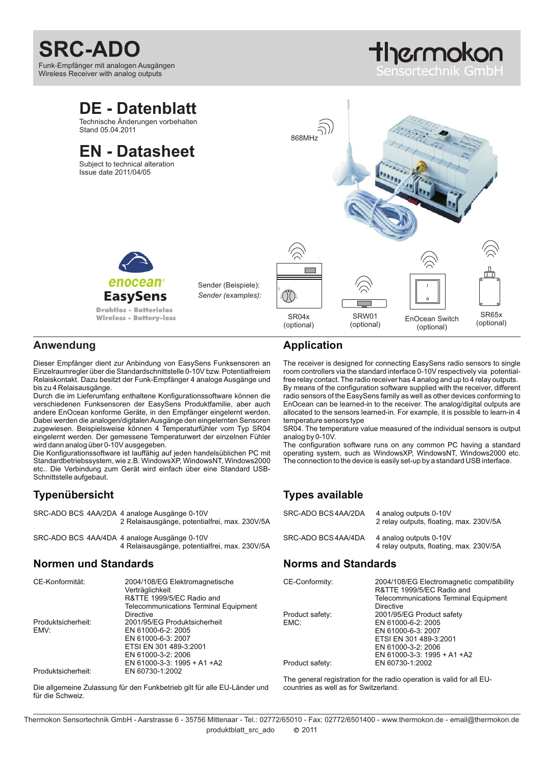# **SRC-ADO**

Funk-Empfänger mit analogen Ausgängen Wireless Receiver with analog outputs

# tlycrmokon ensortechnik Gm



#### **Anwendung**

Dieser Empfänger dient zur Anbindung von EasySens Funksensoren an Einzelraumregler über die Standardschnittstelle 0-10V bzw. Potentialfreiem Relaiskontakt. Dazu besitzt der Funk-Empfänger 4 analoge Ausgänge und bis zu 4 Relaisausgänge.

Durch die im Lieferumfang enthaltene Konfigurationssoftware können die verschiedenen Funksensoren der EasySens Produktfamilie, aber auch andere EnOcean konforme Geräte, in den Empfänger eingelernt werden. Dabei werden die analogen/digitalen Ausgänge den eingelernten Sensoren zugewiesen. Beispielsweise können 4 Temperaturfühler vom Typ SR04 eingelernt werden. Der gemessene Temperaturwert der einzelnen Fühler wird dann analog über 0-10V ausgegeben.

Die Konfigurationssoftware ist lauffähig auf jeden handelsüblichen PC mit Standardbetriebssystem, wie z.B. WindowsXP, WindowsNT, Windows2000 etc.. Die Verbindung zum Gerät wird einfach über eine Standard USB-Schnittstelle aufgebaut.

#### **Typenübersicht**

|  | SRC-ADO BCS 4AA/2DA 4 analoge Ausgänge 0-10V<br>2 Relaisausgänge, potentialfrei, max. 230V/5A |
|--|-----------------------------------------------------------------------------------------------|
|  | SRC-ADO BCS 4AA/4DA 4 analoge Ausgänge 0-10V                                                  |

4 Relaisausgänge, potentialfrei, max. 230V/5A

#### **Normen und Standards**

| CE-Konformität:    | 2004/108/EG Elektromagnetische<br>Verträglichkeit<br>R&TTE 1999/5/EC Radio and |  |
|--------------------|--------------------------------------------------------------------------------|--|
|                    | <b>Telecommunications Terminal Equipment</b>                                   |  |
|                    | Directive                                                                      |  |
| Produktsicherheit: | 2001/95/EG Produktsicherheit                                                   |  |
| EMV:               | EN 61000-6-2: 2005                                                             |  |
|                    | EN 61000-6-3: 2007                                                             |  |
|                    | ETSI EN 301 489-3:2001                                                         |  |
|                    | EN 61000-3-2: 2006                                                             |  |
|                    | EN 61000-3-3: 1995 + A1 + A2                                                   |  |
| Produktsicherheit: | EN 60730-1:2002                                                                |  |

Die allgemeine Zulassung für den Funkbetrieb gilt für alle EU-Länder und für die Schweiz.

## **Application**

The receiver is designed for connecting EasySens radio sensors to single room controllers via the standard interface 0-10V respectively via potentialfree relay contact. The radio receiver has 4 analog and up to 4 relay outputs. By means of the configuration software supplied with the receiver, different radio sensors of the EasySens family as well as other devices conforming to EnOcean can be learned-in to the receiver. The analog/digital outputs are allocated to the sensors learned-in. For example, it is possible to learn-in 4 temperature sensors type

SR04. The temperature value measured of the individual sensors is output analog by 0-10V.

The configuration software runs on any common PC having a standard operating system, such as WindowsXP, WindowsNT, Windows2000 etc. The connection to the device is easily set-up by a standard USB interface.

## **Types available**

| SRC-ADO BCS4AA/2DA | 4 analog outputs 0-10V<br>2 relay outputs, floating, max. 230V/5A |
|--------------------|-------------------------------------------------------------------|
| SRC-ADO BCS4AA/4DA | 4 analog outputs 0-10V<br>4 relay outputs, floating, max. 230V/5A |

#### **Norms and Standards**

| CE-Conformity:  | 2004/108/EG Electromagnetic compatibility<br>R&TTE 1999/5/EC Radio and |  |
|-----------------|------------------------------------------------------------------------|--|
|                 | <b>Telecommunications Terminal Equipment</b><br>Directive              |  |
| Product safety: | 2001/95/EG Product safety                                              |  |
| EMC:            | EN 61000-6-2: 2005                                                     |  |
|                 | EN 61000-6-3: 2007                                                     |  |
|                 | ETSI EN 301 489-3:2001                                                 |  |
|                 | EN 61000-3-2: 2006                                                     |  |
|                 | EN 61000-3-3: 1995 + A1 +A2                                            |  |
| Product safety: | EN 60730-1:2002                                                        |  |

The general registration for the radio operation is valid for all EUcountries as well as for Switzerland.

2011 Thermokon Sensortechnik GmbH - Aarstrasse 6 - 35756 Mittenaar - Tel.: 02772/65010 - Fax: 02772/6501400 - www.thermokon.de - email@thermokon.de produktblatt\_src\_ado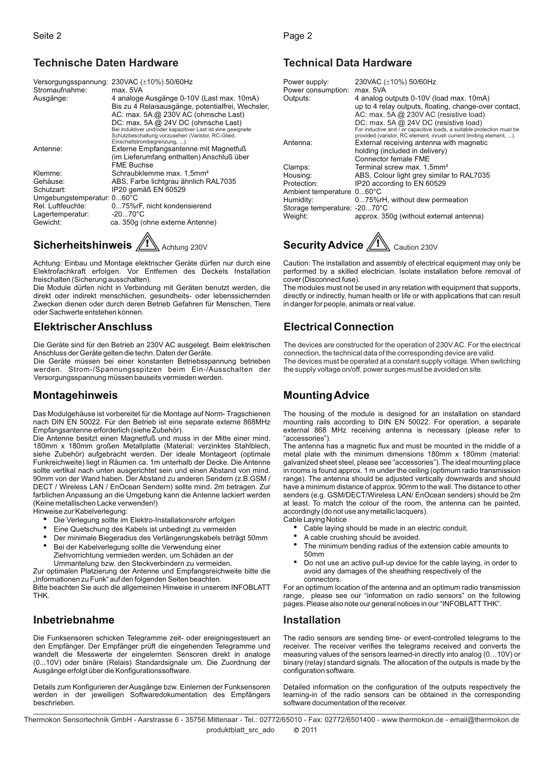#### **Technische Daten Hardware**

|                            | Versorgungsspannung: 230VAC (±10%) 50/60Hz                                        |
|----------------------------|-----------------------------------------------------------------------------------|
| Stromaufnahme:             | max. 5VA                                                                          |
| Ausgänge:                  | 4 analoge Ausgänge 0-10V (Last max. 10mA)                                         |
|                            | Bis zu 4 Relaisausgänge, potentialfrei, Wechsler,                                 |
|                            | AC: max. 5A @ 230V AC (ohmsche Last)                                              |
|                            | DC: max. 5A @ 24V DC (ohmsche Last)                                               |
|                            | Bei induktiver und/oder kapazitiver Last ist eine geeignete                       |
|                            | Schutzbeschaltung vorzusehen (Varistor, RC-Glied,<br>Einschaltstrombegrenzung, ). |
| Antenne:                   | Externe Empfangsantenne mit Magnetfuß                                             |
|                            | (im Lieferumfang enthalten) Anschluß über                                         |
|                            | <b>FME Buchse</b>                                                                 |
| Klemme:                    | Schraubklemme max. 1,5mm <sup>2</sup>                                             |
| Gehäuse:                   | ABS, Farbe lichtgrau ähnlich RAL7035                                              |
| Schutzart:                 | IP20 gemäß EN 60529                                                               |
| Umgebungstemperatur: 060°C |                                                                                   |
| Rel. Luftfeuchte:          | 075%rF, nicht kondensierend                                                       |
| Lagertemperatur:           | $-2070^{\circ}$ C                                                                 |
| Gewicht:                   | ca. 350g (ohne externe Antenne)                                                   |
|                            |                                                                                   |

# **Sicherheitshinweis** A Achtung 230V

Achtung: Einbau und Montage elektrischer Geräte dürfen nur durch eine Elektrofachkraft erfolgen. Vor Entfernen des Deckels Installation freischalten (Sicherung ausschalten).

Die Module dürfen nicht in Verbindung mit Geräten benutzt werden, die direkt oder indirekt menschlichen, gesundheits- oder lebenssichernden Zwecken dienen oder durch deren Betrieb Gefahren für Menschen, Tiere oder Sachwerte entstehen können.

# **ElektrischerAnschluss**

Die Geräte sind für den Betrieb an 230V AC ausgelegt. Beim elektrischen Anschluss der Geräte gelten die techn. Daten der Geräte.

Die Geräte müssen bei einer konstanten Betriebsspannung betrieben werden. Strom-/Spannungsspitzen beim Ein-/Ausschalten der Versorgungsspannung müssen bauseits vermieden werden.

#### **Montagehinweis**

Das Modulgehäuse ist vorbereitet für die Montage auf Norm- Tragschienen nach DIN EN 50022. Für den Betrieb ist eine separate externe 868MHz Empfangsantenne erforderlich (siehe Zubehör).

Die Antenne besitzt einen Magnetfuß und muss in der Mitte einer mind. 180mm x 180mm großen Metallplatte (Material: verzinktes Stahlblech, siehe Zubehör) aufgebracht werden. Der ideale Montageort (optimale Funkreichweite) liegt in Räumen ca. 1m unterhalb der Decke. Die Antenne sollte vertikal nach unten ausgerichtet sein und einen Abstand von mind. 90mm von der Wand haben. Der Abstand zu anderen Sendern (z.B.GSM / DECT / Wireless LAN / EnOcean Sendern) sollte mind. 2m betragen. Zur farblichen Anpassung an die Umgebung kann die Antenne lackiert werden (Keine metallischen Lacke verwenden!)

Hinweise zur Kabelverlegung:

- Die Verlegung sollte im Elektro-Installationsrohr erfolgen
- Eine Quetschung des Kabels ist unbedingt zu vermeiden ·
- Der minimale Biegeradius des Verlängerungskabels beträgt 50mm Bei der Kabelverlegung sollte die Verwendung einer · ·
- Ziehvorrichtung vermieden werden, um Schäden an der

Ummantelung bzw. den Steckverbindern zu vermeiden. Zur optimalen Platzierung der Antenne und Empfangsreichweite bitte die "Informationen zu Funk" auf den folgenden Seiten beachten.

Bitte beachten Sie auch die allgemeinen Hinweise in unserem INFOBLATT THK.

## **Inbetriebnahme**

Die Funksensoren schicken Telegramme zeit- oder ereignisgesteuert an den Empfänger. Der Empfänger prüft die eingehenden Telegramme und wandelt die Messwerte der eingelernten Sensoren direkt in analoge (0...10V) oder binäre (Relais) Standardsignale um. Die Zuordnung der Ausgänge erfolgt über die Konfigurationssoftware.

Details zum Konfigurieren der Ausgänge bzw. Einlernen der Funksensoren werden in der jeweiligen Softwaredokumentation des Empfängers beschrieben.

# **Technical Data Hardware**

| Power supply:<br>Power consumption:<br>Outputs: | 230VAC (±10%) 50/60Hz<br>max. 5VA<br>4 analog outputs 0-10V (load max. 10mA)<br>up to 4 relay outputs, floating, change-over contact,<br>AC: max. 5A @ 230V AC (resistive load)<br>DC: max. 5A @ 24V DC (resistive load)<br>For inductive and / or capacitive loads, a suitable protection must be<br>provided (varistor, RC element, inrush current limiting element, ). |
|-------------------------------------------------|---------------------------------------------------------------------------------------------------------------------------------------------------------------------------------------------------------------------------------------------------------------------------------------------------------------------------------------------------------------------------|
| Antenna:                                        | External receiving antenna with magnetic<br>holding (included in delivery)<br>Connector female FMF                                                                                                                                                                                                                                                                        |
| Clamps:                                         | Terminal screw max. 1,5mm <sup>2</sup>                                                                                                                                                                                                                                                                                                                                    |
| Housing:                                        | ABS, Colour light grey similar to RAL7035                                                                                                                                                                                                                                                                                                                                 |
| Protection:                                     | IP20 according to EN 60529                                                                                                                                                                                                                                                                                                                                                |
| Ambient temperature 060°C                       |                                                                                                                                                                                                                                                                                                                                                                           |
| Humidity:                                       | 075%rH, without dew permeation                                                                                                                                                                                                                                                                                                                                            |
| Storage temperature: -2070°C                    |                                                                                                                                                                                                                                                                                                                                                                           |
| Weight:                                         | approx. 350g (without external antenna)                                                                                                                                                                                                                                                                                                                                   |

**1** Achtung 230V **Security Advice** All Caution 230V

Caution: The installation and assembly of electrical equipment may only be performed by a skilled electrician. Isolate installation before removal of cover (Disconnect fuse).

The modules must not be used in any relation with equipment that supports, directly or indirectly, human health or life or with applications that can result in danger for people, animals or real value.

# **Electrical Connection**

The devices are constructed for the operation of 230V AC. For the electrical connection, the technical data of the corresponding device are valid. The devices must be operated at a constant supply voltage. When switching the supply voltage on/off, power surges must be avoided on site.

## **MountingAdvice**

The housing of the module is designed for an installation on standard mounting rails according to DIN EN 50022. For operation, a separate external 868 MHz receiving antenna is necessary (please refer to "accessories").

The antenna has a magnetic flux and must be mounted in the middle of a metal plate with the minimum dimensions 180mm x 180mm (material: galvanized sheet steel, please see "accessories"). The ideal mounting place in rooms is found approx. 1 m under the ceiling (optimum radio transmission range). The antenna should be adjusted vertically downwards and should have a minimum distance of approx. 90mm to the wall. The distance to other senders (e.g. GSM/DECT/Wireless LAN/ EnOcean senders) should be 2m at least. To match the colour of the room, the antenna can be painted, accordingly (do not use any metallic lacquers).

- Cable Laying Notice<br>Cable Javing Cable laying should be made in an electric conduit.
	- · A cable crushing should be avoided.
	- · The minimum bending radius of the extension cable amounts to 50mm
	- · Do not use an active pull-up device for the cable laying, in order to avoid any damages of the sheathing respectively of the connectors.

For an optimum location of the antenna and an optimum radio transmission range, please see our "information on radio sensors" on the following pages. Please also note our general notices in our "INFOBLATTTHK".

#### **Installation**

The radio sensors are sending time- or event-controlled telegrams to the receiver. The receiver verifies the telegrams received and converts the measuring values of the sensors learned-in directly into analog (0…10V) or binary (relay) standard signals. The allocation of the outputs is made by the configuration software.

Detailed information on the configuration of the outputs respectively the learning-in of the radio sensors can be obtained in the corresponding software documentation of the receiver.

2011 Thermokon Sensortechnik GmbH - Aarstrasse 6 - 35756 Mittenaar - Tel.: 02772/65010 - Fax: 02772/6501400 - www.thermokon.de - email@thermokon.de produktblatt\_src\_ado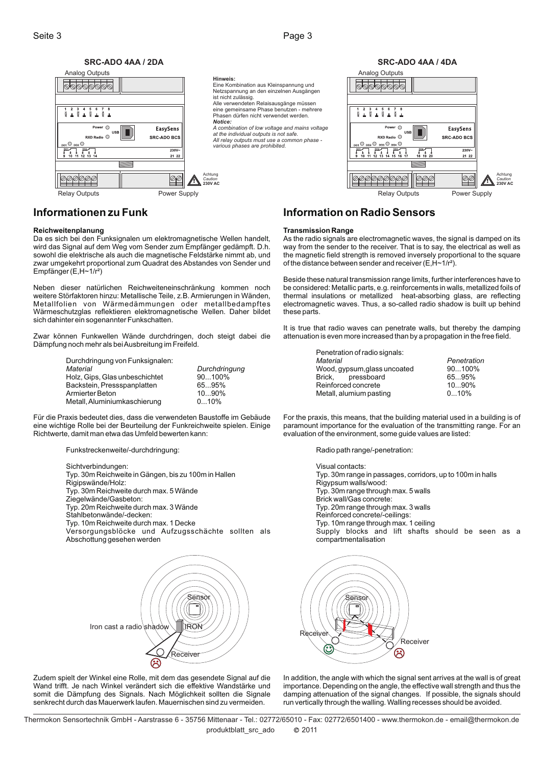

Relay Outputs **Power Supply Accord Power Supply** Relay Outputs Relay Outputs Relay Power Supply

#### **Informationen zu Funk**

#### **Reichweitenplanung**

Da es sich bei den Funksignalen um elektromagnetische Wellen handelt, wird das Signal auf dem Weg vom Sender zum Empfänger gedämpft. D.h. sowohl die elektrische als auch die magnetische Feldstärke nimmt ab, und zwar umgekehrt proportional zum Quadrat des Abstandes von Sender und Empfänger (E,H~1/r²)

Neben dieser natürlichen Reichweiteneinschränkung kommen noch weitere Störfaktoren hinzu: Metallische Teile, z.B. Armierungen in Wänden, Metallfolien von Wärmedämmungen oder metallbedampftes Wärmeschutzglas reflektieren elektromagnetische Wellen. Daher bildet sich dahinter ein sogenannter Funkschatten.

Zwar können Funkwellen Wände durchdringen, doch steigt dabei die Dämpfung noch mehr als beiAusbreitung im Freifeld.

> Durchdringung von Funksignalen: Holz, Gips, Glas unbeschichtet  $90...100\%$ <br>Backstein. Pressspanplatten 65...95% Backstein, Pressspanplatten 65...95%<br>Armierter Beton 10...90% Armierter Beton 10...90%<br>Metall, Aluminiumkaschierung 10...10% Metall, Aluminiumkaschierung *Material Durchdringung*

Für die Praxis bedeutet dies, dass die verwendeten Baustoffe im Gebäude eine wichtige Rolle bei der Beurteilung der Funkreichweite spielen. Einige Richtwerte, damit man etwa das Umfeld bewerten kann:

Funkstreckenweite/-durchdringung:

Sichtverbindungen: Typ. 30m Reichweite in Gängen, bis zu 100m in Hallen Rigipswände/Holz: Typ. 30m Reichweite durch max. 5 Wände Ziegelwände/Gasbeton: Typ. 20m Reichweite durch max. 3 Wände Stahlbetonwände/-decken: Typ. 10m Reichweite durch max. 1 Decke Versorgungsblöcke und Aufzugsschächte sollten als Abschottung gesehen werden



Zudem spielt der Winkel eine Rolle, mit dem das gesendete Signal auf die Wand trifft. Je nach Winkel verändert sich die effektive Wandstärke und somit die Dämpfung des Signals. Nach Möglichkeit sollten die Signale senkrecht durch das Mauerwerk laufen. Mauernischen sind zu vermeiden.

#### **Information on Radio Sensors**

#### **Transmission Range**

As the radio signals are electromagnetic waves, the signal is damped on its way from the sender to the receiver. That is to say, the electrical as well as the magnetic field strength is removed inversely proportional to the square of the distance between sender and receiver (E,H~1/r²).

Beside these natural transmission range limits, further interferences have to be considered: Metallic parts, e.g. reinforcements in walls, metallized foils of thermal insulations or metallized heat-absorbing glass, are reflecting electromagnetic waves. Thus, a so-called radio shadow is built up behind these parts.

It is true that radio waves can penetrate walls, but thereby the damping attenuation is even more increased than by a propagation in the free field.

| Penetration of radio signals: |             |
|-------------------------------|-------------|
| Material                      | Penetration |
| Wood, gypsum, glass uncoated  | $90100\%$   |
| Brick, pressboard             | 6595%       |
| Reinforced concrete           | $1090\%$    |
| Metall, alumium pasting       | $010\%$     |

For the praxis, this means, that the building material used in a building is of paramount importance for the evaluation of the transmitting range. For an evaluation of the environment, some guide values are listed:

Radio path range/-penetration:

Visual contacts: Typ. 30m range in passages, corridors, up to 100m in halls Rigypsum walls/wood: Typ. 30m range through max. 5 walls Brick wall/Gas concrete: Typ. 20m range through max. 3 walls Reinforced concrete/-ceilings: Typ. 10m range through max. 1 ceiling Supply blocks and lift shafts should be seen as a compartmentalisation



In addition, the angle with which the signal sent arrives at the wall is of great importance. Depending on the angle, the effective wall strength and thus the damping attenuation of the signal changes. If possible, the signals should run vertically through the walling. Walling recesses should be avoided.

2011 Thermokon Sensortechnik GmbH - Aarstrasse 6 - 35756 Mittenaar - Tel.: 02772/65010 - Fax: 02772/6501400 - www.thermokon.de - email@thermokon.de produktblatt\_src\_ado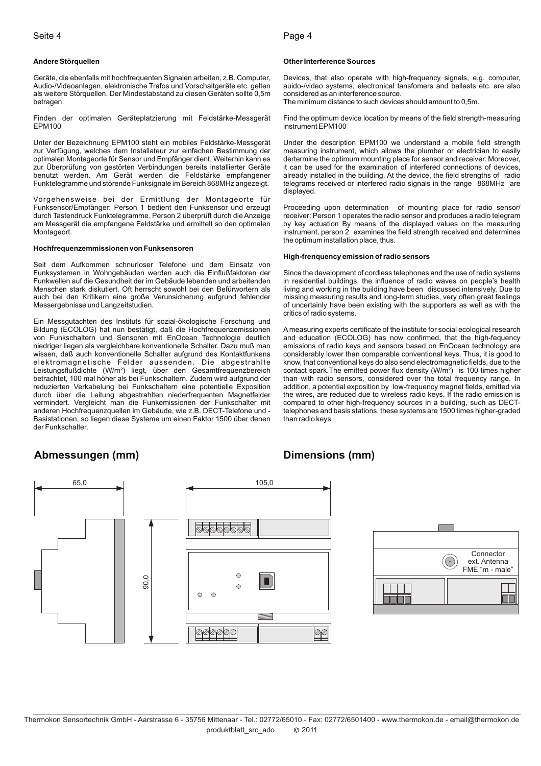#### Seite 4 Page 4

#### **Andere Störquellen**

Geräte, die ebenfalls mit hochfrequenten Signalen arbeiten, z.B. Computer, Audio-/Videoanlagen, elektronische Trafos und Vorschaltgeräte etc. gelten als weitere Störquellen. Der Mindestabstand zu diesen Geräten sollte 0,5m betragen.

Finden der optimalen Geräteplatzierung mit Feldstärke-Messgerät EPM100

Unter der Bezeichnung EPM100 steht ein mobiles Feldstärke-Messgerät zur Verfügung, welches dem Installateur zur einfachen Bestimmung der optimalen Montageorte für Sensor und Empfänger dient. Weiterhin kann es zur Überprüfung von gestörten Verbindungen bereits installierter Geräte benutzt werden. Am Gerät werden die Feldstärke empfangener Funktelegramme und störende Funksignale im Bereich 868MHz angezeigt.

Vorgehensweise bei der Ermittlung der Montageorte für Funksensor/Empfänger: Person 1 bedient den Funksensor und erzeugt durch Tastendruck Funktelegramme. Person 2 überprüft durch die Anzeige am Messgerät die empfangene Feldstärke und ermittelt so den optimalen Montageort.

#### **Hochfrequenzemmissionen von Funksensoren**

Seit dem Aufkommen schnurloser Telefone und dem Einsatz von Funksystemen in Wohngebäuden werden auch die Einflußfaktoren der Funkwellen auf die Gesundheit der im Gebäude lebenden und arbeitenden Menschen stark diskutiert. Oft herrscht sowohl bei den Befürwortern als auch bei den Kritikern eine große Verunsicherung aufgrund fehlender Messergebnisse und Langzeitstudien.

Ein Messgutachten des Instituts für sozial-ökologische Forschung und Bildung (ECOLOG) hat nun bestätigt, daß die Hochfrequenzemissionen von Funkschaltern und Sensoren mit EnOcean Technologie deutlich niedriger liegen als vergleichbare konventionelle Schalter. Dazu muß man wissen, daß auch konventionelle Schalter aufgrund des Kontaktfunkens elektromagnetische Felder aussenden. Die abgestrahlte Leistungsflußdichte (W/m²) liegt, über den Gesamtfrequenzbereich betrachtet, 100 mal höher als bei Funkschaltern. Zudem wird aufgrund der reduzierten Verkabelung bei Funkschaltern eine potentielle Exposition durch über die Leitung abgestrahlten niederfrequenten Magnetfelder vermindert. Vergleicht man die Funkemissionen der Funkschalter mit anderen Hochfrequenzquellen im Gebäude, wie z.B. DECT-Telefone und - Basistationen, so liegen diese Systeme um einen Faktor 1500 über denen der Funkschalter.

#### **Other Interference Sources**

Devices, that also operate with high-frequency signals, e.g. computer, auido-/video systems, electronical tansfomers and ballasts etc. are also considered as an interference source.

The minimum distance to such devices should amount to 0,5m.

Find the optimum device location by means of the field strength-measuring instrument EPM100

Under the description EPM100 we understand a mobile field strength measuring instrument, which allows the plumber or electrician to easily dertermine the optimum mounting place for sensor and receiver. Moreover, it can be used for the examination of interfered connections of devices, already installed in the building. At the device, the field strengths of radio telegrams received or interfered radio signals in the range 868MHz are displayed.

Proceeding upon determination of mounting place for radio sensor/ receiver: Person 1 operates the radio sensor and produces a radio telegram by key actuation By means of the displayed values on the measuring instrument, person 2 examines the field strength received and determines the optimum installation place, thus.

#### **High-frenquency emission of radio sensors**

Since the development of cordless telephones and the use of radio systems in residential buildings, the influence of radio waves on people's health living and working in the building have been discussed intensively. Due to missing measuring results and long-term studies, very often great feelings of uncertainly have been existing with the supporters as well as with the critics of radio systems.

A measuring experts certificate of the institute for social ecological research and education (ECOLOG) has now confirmed, that the high-fequency emissions of radio keys and sensors based on EnOcean technology are considerably lower than comparable conventional keys. Thus, it is good to know, that conventional keys do also send electromagnetic fields, due to the contact spark. The emitted power flux density  $(W/m^2)$  is 100 times higher than with radio sensors, considered over the total frequency range. In addition, a potential exposition by low-frequency magnet fields, emitted via the wires, are reduced due to wireless radio keys. If the radio emission is compared to other high-frequency sources in a building, such as DECTtelephones and basis stations, these systems are 1500 times higher-graded than radio keys.

#### **Abmessungen (mm) Dimensions (mm)**